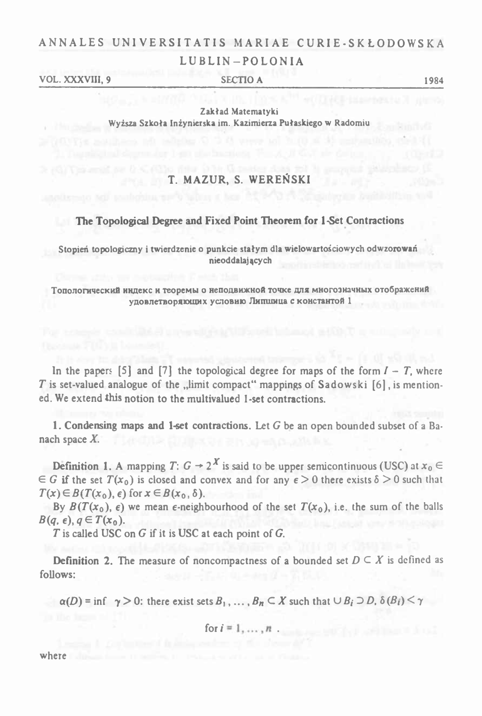## ANNALES UNIVERSITATIS MARIAE CURIE-SKŁODOWSKA LUBLIN-POLONIA

VOL. XXXVIII. 9 **SECTIO A** 

1984

Zakład Matematyki Wyższa Szkoła Inżynierska im. Kazimierza Pułaskiego w Radomiu

## T. MAZUR, S. WERENSKI

### **EXECUTE:** The Topological Degree and Fixed Point Theorem for 1-Set Contractions

Stopień topologiczny i twierdzenie o punkcie stałym dla wielowartościowych odwzorowań nieoddalajacych

Топологический индекс и теоремы о неподвижной точке для многозначных отображений удовлетворяющих условию Липшица с константой 1

In the papers [5] and [7] the topological degree for maps of the form  $I - T$ , where T is set-valued analogue of the "limit compact" mappings of Sadowski [6], is mentioned. We extend this notion to the multivalued 1-set contractions.

1. Condensing maps and 1-set contractions. Let  $G$  be an open bounded subset of a Banach space  $X$ .

**Definition 1.** A mapping  $T: G \rightarrow 2^X$  is said to be upper semicontinuous (USC) at  $x_0 \in$  $\in G$  if the set  $T(x_0)$  is closed and convex and for any  $\epsilon > 0$  there exists  $\delta > 0$  such that  $T(x) \in B(T(x_0), \epsilon)$  for  $x \in B(x_0, \delta)$ .

By  $B(T(x_0), \epsilon)$  we mean  $\epsilon$ -neighbourhood of the set  $T(x_0)$ , i.e. the sum of the balls  $B(q, \epsilon), q \in T(x_0).$ 

T is called USC on G if it is USC at each point of G.

**Definition 2.** The measure of noncompactness of a bounded set  $D \subseteq X$  is defined as follows:

 $\alpha(D)$  = inf  $\gamma > 0$ : there exist sets  $B_1, \ldots, B_n \subseteq X$  such that  $\cup B_i \supset D$ ,  $\delta(B_i) \leq \gamma$ 

for 
$$
i = 1, ..., n
$$

where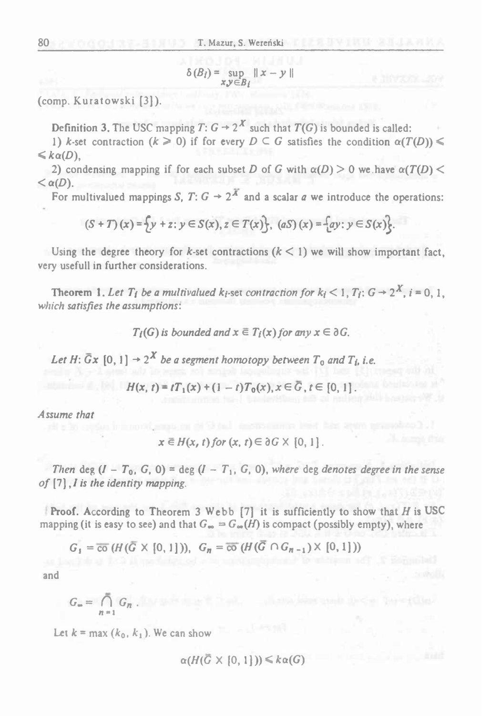$$
\delta(B_i) = \sup_{x,y \in B_i} ||x - y||
$$

(comp. Kuratowski [3]).

Definition 3. The USC mapping  $T: G \rightarrow 2^X$  such that  $T(G)$  is bounded is called:

1) *k*-set contraction  $(k \ge 0)$  if for every  $D \subseteq G$  satisfies the condition  $\alpha(T(D)) \le$  $\leq k \alpha(D)$ ,

2) condensing mapping if for each subset *D* of *G* with  $\alpha(D) > 0$  we have  $\alpha(T(D)) <$  $\langle \alpha(D) \rangle$ 

For multivalued mappings *S*, *T*:  $G \rightarrow 2^{\overline{X}}$  and a scalar *a* we introduce the operations:

$$
(S+T)(x) = \{y + z : y \in S(x), z \in T(x)\}, (aS)(x) = \{ay : y \in S(x)\}.
$$

Using the degree theory for *k*-set contractions  $(k < 1)$  we will show important fact, very usefull in further considerations.

Theorem 1. Let  $T_i$  be a multivalued  $k_i$ -set contraction for  $k_i < 1$ ,  $T_i$ :  $G \rightarrow 2^{X}$ ,  $i = 0, 1$ . *which satisfies the assumptions:.*

*T<sub>i</sub>*(*G*) *is bounded* and  $x \in T_i(x)$  for any  $x \in \partial G$ .

Let H:  $\overline{G}x$  [0, 1]  $\rightarrow 2^X$  be a segment homotopy between  $T_0$  and  $T_i$ , i.e.

$$
H(x, t) = tT_1(x) + (1 - t)T_0(x), x \in \overline{G}, t \in [0, 1].
$$

*Assume that*

$$
x \in H(x, t) \text{ for } (x, t) \in \partial G \times [0, 1].
$$

Then deg  $(I - T_0, G, 0) = \deg (I - T_1, G, 0)$ , where deg denotes degree in the sense *of* [7],/ *is the identity mapping.*

Proof. According to Theorem <sup>3</sup> Webb [7] it is sufficiently to show that *<sup>H</sup>* is USC mapping (it is easy to see) and that  $G_{\infty} = G_{\infty}(H)$  is compact (possibly empty), where

$$
G_1 = \overline{co} (H(\overline{G} \times [0,1])), \quad G_n = \overline{co} (H(\overline{G} \cap G_{n-1}) \times [0,1]))
$$

and

$$
G_{\bullet} = \bigcap_{n=1}^{\bullet} G_n.
$$

Let  $k = \max(k_0, k_1)$ . We can show

$$
\alpha(H(\overline{G}\times[0,1]))\leq k\alpha(G)
$$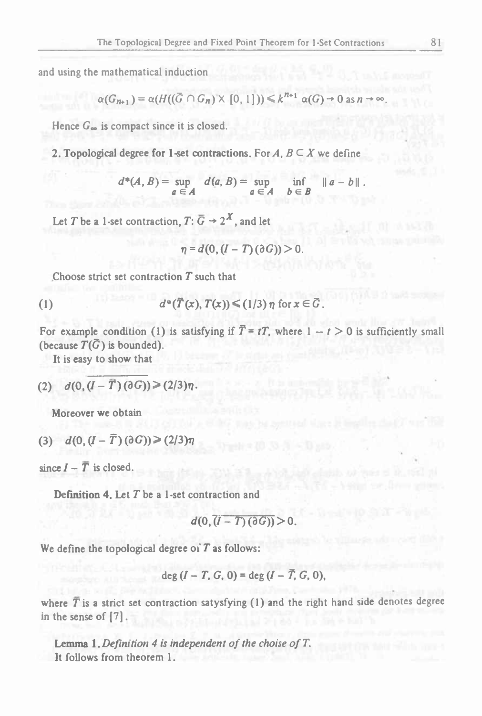and using the mathematical induction

$$
\alpha(G_{n+1}) = \alpha(H((\overline{G} \cap G_n) \times [0,1])) \leq k^{n+1} \alpha(G) \to 0 \text{ as } n \to \infty.
$$

Hence G<sub>oo</sub> is compact since it is closed.

2. Topological degree for 1-set contractions. For  $A, B \subseteq X$  we define

$$
d^*(A, B) = \sup_{a \in A} d(a, B) = \sup_{a \in A} \inf_{b \in B} \|a - b\|.
$$

Let T be a 1-set contraction,  $T: \overline{G} \rightarrow 2^X$ , and let

$$
\eta = d(0, (I - T)(\partial G)) > 0
$$

Choose strict set contraction  $T$  such that

$$
(1) \t d^*(\overline{T}(x), T(x)) \le (1/3) \eta \text{ for } x \in \overline{G}
$$

For example condition (1) is satisfying if  $\overline{T} = tT$ , where  $1 - t > 0$  is sufficiently small (because  $T(\bar{G})$  is bounded).

It is easy to show that

(2) 
$$
d(0, (I - \vec{T}) (dG)) \geq (2/3)\eta
$$
.

Moreover we obtain

$$
(3) \quad d(0, (I - \overline{T}) \, (\partial G)) \geq (2/3)\eta
$$

since  $I - \overline{T}$  is closed.

**Definition 4.** Let  $T$  be a 1-set contraction and

$$
d(0, (I-T)(\partial G)) > 0.
$$

We define the topological degree of  $T$  as follows:

$$
\deg (I - T, G, 0) = \deg (I - T, G, 0),
$$

where  $\overline{T}$  is a strict set contraction satysfying (1) and the right hand side denotes degree in the sense of [7].

**Lemma 1.** Definition 4 is independent of the choise of  $T$ . It follows from theorem 1.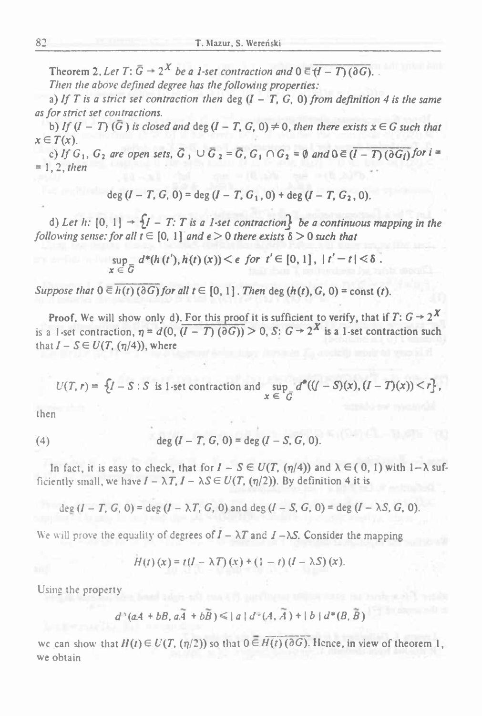Theorem 2. Let  $T: \overline{G} \rightarrow 2^X$  be a 1-set contraction and  $0 \in \overline{H} - T(0, 0)$ .

*Then the above defined degree has the following properties:*

a) If T is a strict set contraction then deg  $(I - T, G, 0)$  from definition 4 is the same *as for strict set contractions.*

b) If  $(I - T)(\overline{G})$  is closed and deg  $(I - T, G, 0) \neq 0$ , then there exists  $x \in G$  such that  $x \in T(x)$ .

c) If  $G_1$ ,  $G_2$  are open sets,  $\overline{G}_1 \cup \overline{G}_2 = \overline{G}$ ,  $G_1 \cap G_2 = \emptyset$  and  $0 \in (\overline{I} - \overline{T})(\partial \overline{G_1})$  for  $i =$ *<sup>=</sup> 1,2, then*

 $deg (I - T, G, 0) = deg (I - T, G_1, 0) + deg (I - T, G_2, 0).$ 

d) Let h:  $[0, 1] \rightarrow \{1 - T: T$  is a 1-set contraction be a continuous mapping in the following sense: for all  $t \in [0, 1]$  and  $\epsilon > 0$  there exists  $\delta > 0$  such that

$$
\sup_{x \in \overline{G}} d^*(h(t'), h(t)(x)) < \epsilon \text{ for } t' \in [0, 1], \ |t'-t| < \delta.
$$

*Suppose that*  $0 \in h(t)$  ( $\partial G$ *)for all*  $t \in [0, 1]$ *. Then* deg  $(h(t), G, 0) =$  const (t).

Proof. We will show only d). For this proof it is sufficient to verify, that if  $T: G \rightarrow 2^X$ is a 1-set contraction,  $\eta = d(0, (I - T)(\partial G)) > 0$ , S:  $G \rightarrow 2^{X}$  is a 1-set contraction such that  $I - S \in U(T, (\eta/4))$ , where

 $U(T, r) = \{I - S : S \text{ is } 1\text{-set contraction and } \sup_{x \in G} d^*(\mathcal{U} - S)(x), (I - T)(x)) < r\},$ 

then

(4) 
$$
\deg (I - T, G, 0) = \deg (I - S, G, 0).
$$

In fact, it is easy to check, that for  $I - S \in U(T, (\eta/4))$  and  $\lambda \in (0, 1)$  with  $1-\lambda$  sufficiently small, we have  $I - \lambda T$ ,  $I - \lambda S \in U(T, (\eta/2))$ . By definition 4 it is

deg  $(I - T, G, 0) =$  deg  $(I - \lambda T, G, 0)$  and deg  $(I - S, G, 0) =$  deg  $(I - \lambda S, G, 0)$ .

We will prove the equality of degrees of  $I - \lambda T$  and  $I - \lambda S$ . Consider the mapping

$$
H(t)(x) = t(I - \lambda T)(x) + (1 - t)(I - \lambda S)(x).
$$

Using the property

$$
d^{*}(aA+bB,a\widetilde{A}+b\widetilde{B})\leq |a|d^{*}(A,\widetilde{A})+|b|d^{*}(B,\widetilde{B})
$$

we can show that  $H(t) \in U(T, (\eta/2))$  so that  $0 \in H(t)$  ( $\partial G$ ). Hence, in view of theorem 1, we obtain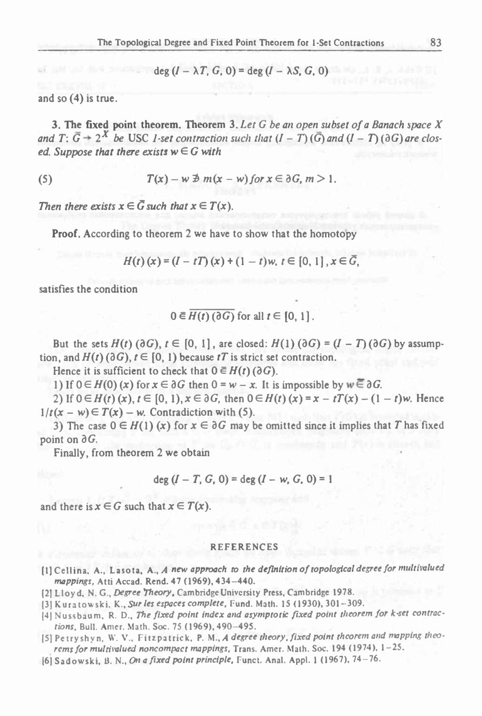$$
\deg (I - \lambda T, G, 0) = \deg (I - \lambda S, G, 0)
$$

and so (4) is true.

3. The fixed point theorem. Theorem 3. *Let <sup>G</sup> be an open subset of <sup>a</sup> Banach space X* and T:  $\overline{G}$  + 2<sup>X</sup> be USC 1-set contraction such that  $(I - T)(\overline{G})$  and  $(I - T)(\partial G)$  are clos $ed.$  *Suppose that there exists*  $w \in G$  *with* 

(5) 
$$
T(x) - w \not\supseteq m(x - w) \text{ for } x \in \partial G, m > 1.
$$

*Then there exists*  $x \in \overline{G}$  *such that*  $x \in T(x)$ .

Proof. According to theorem <sup>2</sup> we have to show that the homotopy

$$
H(t)(x) = (I - tT)(x) + (1 - t)w, t \in [0, 1], x \in \bar{G},
$$

satisfies the condition

$$
0 \in \overline{H(t) \left(\partial G\right)} \text{ for all } t \in [0, 1].
$$

But the sets  $H(t)$  ( $\partial G$ ),  $t \in [0, 1]$ , are closed:  $H(1)$  ( $\partial G$ ) =  $(I - T)(\partial G)$  by assumption, and  $H(t)$  ( $\partial G$ ),  $t \in [0, 1)$  because *tT* is strict set contraction. But the sets  $H(t)$  ( $\partial G$ ),  $t \in [0, 1]$ , are closed:  $H(1)$  ( $\partial G$ ) =  $(I - T)$  ( $\partial G$ ) by assump-<br>n, and  $H(t)$  ( $\partial G$ ),  $t \in [0, 1]$  because  $tT$  is strict set contraction.<br>Hence it is sufficient to check that  $0 \in H(t)$  ( $\partial G$ 

Hence it is sufficient to check that  $0 \in H(t)$  ( $\partial G$ ).

 $1/t(x - w) \in T(x) - w$ . Contradiction with (5).

3) The case  $0 \in H(1)$  (x) for  $x \in \partial G$  may be omitted since it implies that *T* has fixed point on  $\partial G$ .

Finally, from theorem 2 we obtain

$$
deg (I - T, G, 0) = deg (I - w, G, 0) = 1
$$

and there is  $x \in G$  such that  $x \in T(x)$ .

#### REFERENCES

- [1] Cellina, A., Lasota, A., A new approach to the definition of topological degree for multivalued *mappings,* Atti Accad. Rend. <sup>47</sup> (1969), 434-440.
- (2] Lloyd. N. G., *Degree Theory.* Cambridge University Press, Cambridge 1978.
- [3] Kuratowski. K., *Sur les espaces complete,* Fund. Math. <sup>15</sup> (1930), 301-309.
- [4] Nussbaum, R. D., The fixed point index and asymptotic fixed point theorem for k-set contrac*tions,* Bull. Amer. Math. Soc. <sup>75</sup> (1969), 490-495.
- [5] Petryshyn, W. V., Fitzpatrick, P. M., *<sup>A</sup> degree theory, fixed point theorem and mapping theorems for multivalued noncompact mappings,* Trans. Amer. Math. Soc. <sup>194</sup> (1974), 1-25.
- 16) Sadowski, 13. N.. *On <sup>a</sup> fixed point principle,* Funct. Anal. Appl. 1 (1967), 74-76.